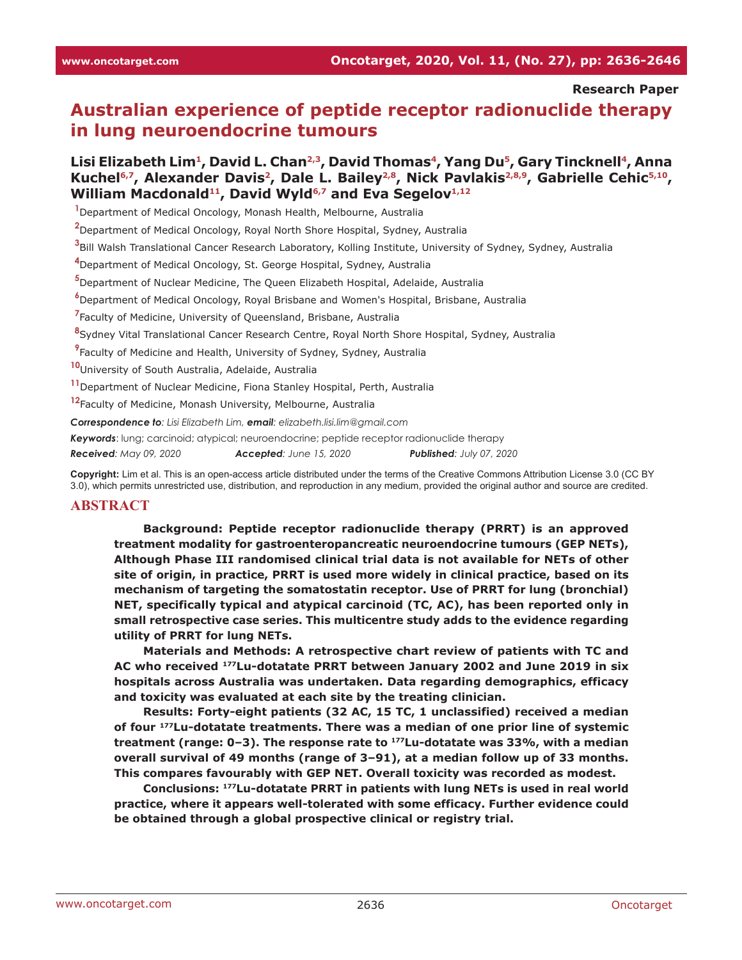#### **Research Paper**

# **Australian experience of peptide receptor radionuclide therapy in lung neuroendocrine tumours**

### Lisi Elizabeth Lim<sup>1</sup>, David L. Chan<sup>2,3</sup>, David Thomas<sup>4</sup>, Yang Du<sup>5</sup>, Gary Tincknell<sup>4</sup>, Anna Kuchel<sup>6,7</sup>, Alexander Davis<sup>2</sup>, Dale L. Bailey<sup>2,8</sup>, Nick Pavlakis<sup>2,8,9</sup>, Gabrielle Cehic<sup>5,10</sup>, William Macdonald<sup>11</sup>, David Wyld<sup>6,7</sup> and Eva Segelov<sup>1,12</sup>

**1** Department of Medical Oncology, Monash Health, Melbourne, Australia

**2** Department of Medical Oncology, Royal North Shore Hospital, Sydney, Australia

**3** Bill Walsh Translational Cancer Research Laboratory, Kolling Institute, University of Sydney, Sydney, Australia

**4** Department of Medical Oncology, St. George Hospital, Sydney, Australia

**5** Department of Nuclear Medicine, The Queen Elizabeth Hospital, Adelaide, Australia

**6** Department of Medical Oncology, Royal Brisbane and Women's Hospital, Brisbane, Australia

**7** Faculty of Medicine, University of Queensland, Brisbane, Australia

**8** Sydney Vital Translational Cancer Research Centre, Royal North Shore Hospital, Sydney, Australia

**9** Faculty of Medicine and Health, University of Sydney, Sydney, Australia

**10** University of South Australia, Adelaide, Australia

**11** Department of Nuclear Medicine, Fiona Stanley Hospital, Perth, Australia

**12** Faculty of Medicine, Monash University, Melbourne, Australia

*Correspondence to: Lisi Elizabeth Lim, email: elizabeth.lisi.lim@gmail.com*

*Keywords*: lung; carcinoid; atypical; neuroendocrine; peptide receptor radionuclide therapy

*Received: May 09, 2020 Accepted: June 15, 2020 Published: July 07, 2020*

**Copyright:** Lim et al. This is an open-access article distributed under the terms of the Creative Commons Attribution License 3.0 (CC BY 3.0), which permits unrestricted use, distribution, and reproduction in any medium, provided the original author and source are credited.

#### **ABSTRACT**

**Background: Peptide receptor radionuclide therapy (PRRT) is an approved treatment modality for gastroenteropancreatic neuroendocrine tumours (GEP NETs), Although Phase III randomised clinical trial data is not available for NETs of other site of origin, in practice, PRRT is used more widely in clinical practice, based on its mechanism of targeting the somatostatin receptor. Use of PRRT for lung (bronchial) NET, specifically typical and atypical carcinoid (TC, AC), has been reported only in small retrospective case series. This multicentre study adds to the evidence regarding utility of PRRT for lung NETs.**

**Materials and Methods: A retrospective chart review of patients with TC and AC who received 177Lu-dotatate PRRT between January 2002 and June 2019 in six hospitals across Australia was undertaken. Data regarding demographics, efficacy and toxicity was evaluated at each site by the treating clinician.**

**Results: Forty-eight patients (32 AC, 15 TC, 1 unclassified) received a median of four 177Lu-dotatate treatments. There was a median of one prior line of systemic treatment (range: 0–3). The response rate to 177Lu-dotatate was 33%, with a median overall survival of 49 months (range of 3–91), at a median follow up of 33 months. This compares favourably with GEP NET. Overall toxicity was recorded as modest.**

**Conclusions: 177Lu-dotatate PRRT in patients with lung NETs is used in real world practice, where it appears well-tolerated with some efficacy. Further evidence could be obtained through a global prospective clinical or registry trial.**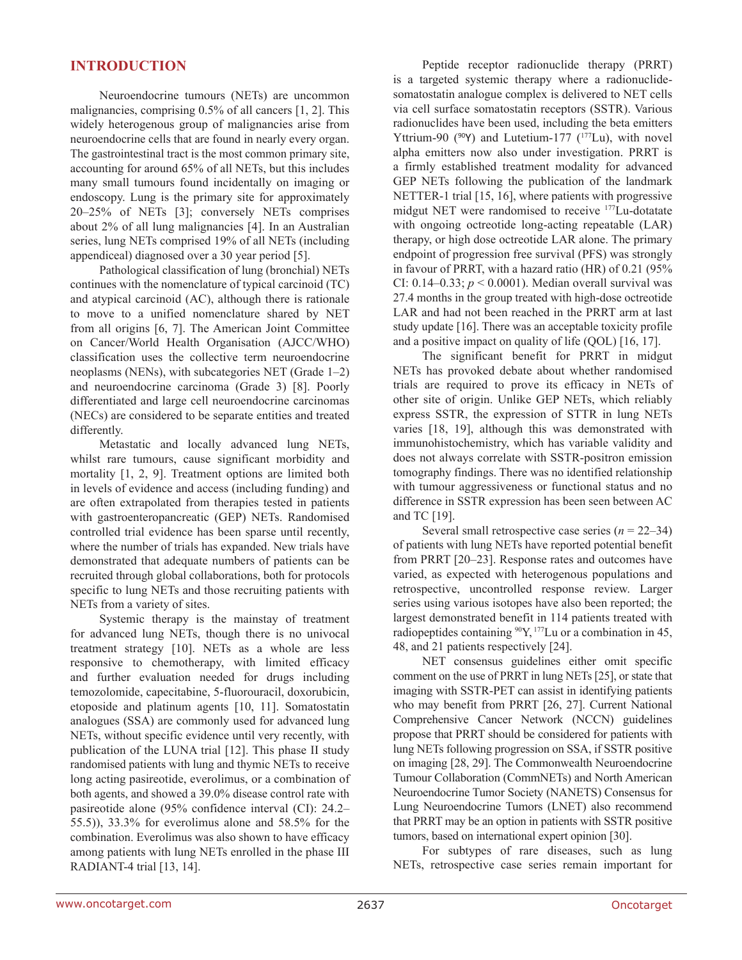### **INTRODUCTION**

Neuroendocrine tumours (NETs) are uncommon malignancies, comprising 0.5% of all cancers [1, 2]. This widely heterogenous group of malignancies arise from neuroendocrine cells that are found in nearly every organ. The gastrointestinal tract is the most common primary site, accounting for around 65% of all NETs, but this includes many small tumours found incidentally on imaging or endoscopy. Lung is the primary site for approximately 20–25% of NETs [3]; conversely NETs comprises about 2% of all lung malignancies [4]. In an Australian series, lung NETs comprised 19% of all NETs (including appendiceal) diagnosed over a 30 year period [5].

Pathological classification of lung (bronchial) NETs continues with the nomenclature of typical carcinoid (TC) and atypical carcinoid (AC), although there is rationale to move to a unified nomenclature shared by NET from all origins [6, 7]. The American Joint Committee on Cancer/World Health Organisation (AJCC/WHO) classification uses the collective term neuroendocrine neoplasms (NENs), with subcategories NET (Grade 1–2) and neuroendocrine carcinoma (Grade 3) [8]. Poorly differentiated and large cell neuroendocrine carcinomas (NECs) are considered to be separate entities and treated differently.

Metastatic and locally advanced lung NETs, whilst rare tumours, cause significant morbidity and mortality [1, 2, 9]. Treatment options are limited both in levels of evidence and access (including funding) and are often extrapolated from therapies tested in patients with gastroenteropancreatic (GEP) NETs. Randomised controlled trial evidence has been sparse until recently, where the number of trials has expanded. New trials have demonstrated that adequate numbers of patients can be recruited through global collaborations, both for protocols specific to lung NETs and those recruiting patients with NETs from a variety of sites.

Systemic therapy is the mainstay of treatment for advanced lung NETs, though there is no univocal treatment strategy [10]. NETs as a whole are less responsive to chemotherapy, with limited efficacy and further evaluation needed for drugs including temozolomide, capecitabine, 5-fluorouracil, doxorubicin, etoposide and platinum agents [10, 11]. Somatostatin analogues (SSA) are commonly used for advanced lung NETs, without specific evidence until very recently, with publication of the LUNA trial [12]. This phase II study randomised patients with lung and thymic NETs to receive long acting pasireotide, everolimus, or a combination of both agents, and showed a 39.0% disease control rate with pasireotide alone (95% confidence interval (CI): 24.2– 55.5)), 33.3% for everolimus alone and 58.5% for the combination. Everolimus was also shown to have efficacy among patients with lung NETs enrolled in the phase III RADIANT-4 trial [13, 14].

Peptide receptor radionuclide therapy (PRRT) is a targeted systemic therapy where a radionuclidesomatostatin analogue complex is delivered to NET cells via cell surface somatostatin receptors (SSTR). Various radionuclides have been used, including the beta emitters Yttrium-90 ( $90Y$ ) and Lutetium-177 ( $177Lu$ ), with novel alpha emitters now also under investigation. PRRT is a firmly established treatment modality for advanced GEP NETs following the publication of the landmark NETTER-1 trial [15, 16], where patients with progressive midgut NET were randomised to receive 177Lu-dotatate with ongoing octreotide long-acting repeatable (LAR) therapy, or high dose octreotide LAR alone. The primary endpoint of progression free survival (PFS) was strongly in favour of PRRT, with a hazard ratio (HR) of 0.21 (95% CI:  $0.14-0.33$ ;  $p < 0.0001$ ). Median overall survival was 27.4 months in the group treated with high-dose octreotide LAR and had not been reached in the PRRT arm at last study update [16]. There was an acceptable toxicity profile and a positive impact on quality of life (QOL) [16, 17].

The significant benefit for PRRT in midgut NETs has provoked debate about whether randomised trials are required to prove its efficacy in NETs of other site of origin. Unlike GEP NETs, which reliably express SSTR, the expression of STTR in lung NETs varies [18, 19], although this was demonstrated with immunohistochemistry, which has variable validity and does not always correlate with SSTR-positron emission tomography findings. There was no identified relationship with tumour aggressiveness or functional status and no difference in SSTR expression has been seen between AC and TC [19].

Several small retrospective case series (*n* = 22–34) of patients with lung NETs have reported potential benefit from PRRT [20–23]. Response rates and outcomes have varied, as expected with heterogenous populations and retrospective, uncontrolled response review. Larger series using various isotopes have also been reported; the largest demonstrated benefit in 114 patients treated with radiopeptides containing  $^{90}Y$ ,  $^{177}Lu$  or a combination in 45, 48, and 21 patients respectively [24].

NET consensus guidelines either omit specific comment on the use of PRRT in lung NETs [25], or state that imaging with SSTR-PET can assist in identifying patients who may benefit from PRRT [26, 27]. Current National Comprehensive Cancer Network (NCCN) guidelines propose that PRRT should be considered for patients with lung NETs following progression on SSA, if SSTR positive on imaging [28, 29]. The Commonwealth Neuroendocrine Tumour Collaboration (CommNETs) and North American Neuroendocrine Tumor Society (NANETS) Consensus for Lung Neuroendocrine Tumors (LNET) also recommend that PRRT may be an option in patients with SSTR positive tumors, based on international expert opinion [30].

For subtypes of rare diseases, such as lung NETs, retrospective case series remain important for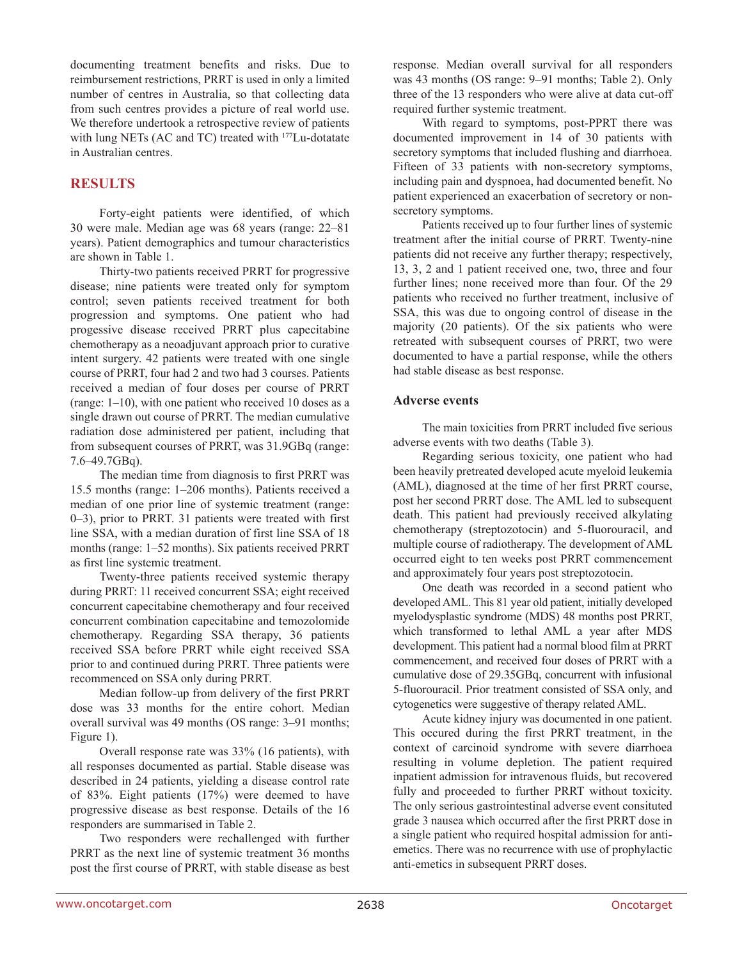documenting treatment benefits and risks. Due to reimbursement restrictions, PRRT is used in only a limited number of centres in Australia, so that collecting data from such centres provides a picture of real world use. We therefore undertook a retrospective review of patients with lung NETs (AC and TC) treated with 177Lu-dotatate in Australian centres.

## **RESULTS**

Forty-eight patients were identified, of which 30 were male. Median age was 68 years (range: 22–81 years). Patient demographics and tumour characteristics are shown in Table 1.

Thirty-two patients received PRRT for progressive disease; nine patients were treated only for symptom control; seven patients received treatment for both progression and symptoms. One patient who had progessive disease received PRRT plus capecitabine chemotherapy as a neoadjuvant approach prior to curative intent surgery. 42 patients were treated with one single course of PRRT, four had 2 and two had 3 courses. Patients received a median of four doses per course of PRRT (range: 1–10), with one patient who received 10 doses as a single drawn out course of PRRT. The median cumulative radiation dose administered per patient, including that from subsequent courses of PRRT, was 31.9GBq (range: 7.6–49.7GBq).

The median time from diagnosis to first PRRT was 15.5 months (range: 1–206 months). Patients received a median of one prior line of systemic treatment (range: 0–3), prior to PRRT. 31 patients were treated with first line SSA, with a median duration of first line SSA of 18 months (range: 1–52 months). Six patients received PRRT as first line systemic treatment.

Twenty-three patients received systemic therapy during PRRT: 11 received concurrent SSA; eight received concurrent capecitabine chemotherapy and four received concurrent combination capecitabine and temozolomide chemotherapy. Regarding SSA therapy, 36 patients received SSA before PRRT while eight received SSA prior to and continued during PRRT. Three patients were recommenced on SSA only during PRRT.

Median follow-up from delivery of the first PRRT dose was 33 months for the entire cohort. Median overall survival was 49 months (OS range: 3–91 months; Figure 1).

Overall response rate was 33% (16 patients), with all responses documented as partial. Stable disease was described in 24 patients, yielding a disease control rate of 83%. Eight patients (17%) were deemed to have progressive disease as best response. Details of the 16 responders are summarised in Table 2.

Two responders were rechallenged with further PRRT as the next line of systemic treatment 36 months post the first course of PRRT, with stable disease as best response. Median overall survival for all responders was 43 months (OS range: 9–91 months; Table 2). Only three of the 13 responders who were alive at data cut-off required further systemic treatment.

With regard to symptoms, post-PPRT there was documented improvement in 14 of 30 patients with secretory symptoms that included flushing and diarrhoea. Fifteen of 33 patients with non-secretory symptoms, including pain and dyspnoea, had documented benefit. No patient experienced an exacerbation of secretory or nonsecretory symptoms.

Patients received up to four further lines of systemic treatment after the initial course of PRRT. Twenty-nine patients did not receive any further therapy; respectively, 13, 3, 2 and 1 patient received one, two, three and four further lines; none received more than four. Of the 29 patients who received no further treatment, inclusive of SSA, this was due to ongoing control of disease in the majority (20 patients). Of the six patients who were retreated with subsequent courses of PRRT, two were documented to have a partial response, while the others had stable disease as best response.

#### **Adverse events**

The main toxicities from PRRT included five serious adverse events with two deaths (Table 3).

Regarding serious toxicity, one patient who had been heavily pretreated developed acute myeloid leukemia (AML), diagnosed at the time of her first PRRT course, post her second PRRT dose. The AML led to subsequent death. This patient had previously received alkylating chemotherapy (streptozotocin) and 5-fluorouracil, and multiple course of radiotherapy. The development of AML occurred eight to ten weeks post PRRT commencement and approximately four years post streptozotocin.

One death was recorded in a second patient who developed AML. This 81 year old patient, initially developed myelodysplastic syndrome (MDS) 48 months post PRRT, which transformed to lethal AML a year after MDS development. This patient had a normal blood film at PRRT commencement, and received four doses of PRRT with a cumulative dose of 29.35GBq, concurrent with infusional 5-fluorouracil. Prior treatment consisted of SSA only, and cytogenetics were suggestive of therapy related AML.

Acute kidney injury was documented in one patient. This occured during the first PRRT treatment, in the context of carcinoid syndrome with severe diarrhoea resulting in volume depletion. The patient required inpatient admission for intravenous fluids, but recovered fully and proceeded to further PRRT without toxicity. The only serious gastrointestinal adverse event consituted grade 3 nausea which occurred after the first PRRT dose in a single patient who required hospital admission for antiemetics. There was no recurrence with use of prophylactic anti-emetics in subsequent PRRT doses.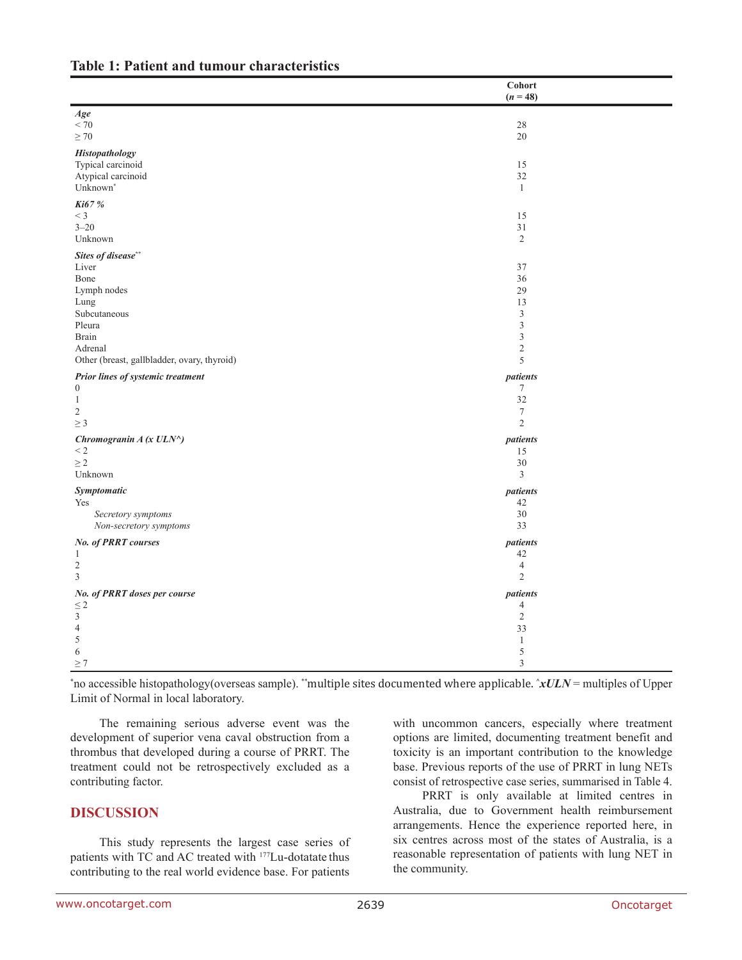|                                             | Cohort<br>$(n = 48)$        |  |
|---------------------------------------------|-----------------------------|--|
| Age                                         |                             |  |
| $< 70\,$                                    | 28                          |  |
| $\geq 70$                                   | $20\,$                      |  |
| <b>Histopathology</b>                       |                             |  |
| Typical carcinoid                           | 15                          |  |
| Atypical carcinoid                          | 32                          |  |
| Unknown <sup>*</sup>                        | $\mathbf{1}$                |  |
| Ki67 %                                      |                             |  |
| $<$ 3                                       | 15                          |  |
| $3 - 20$                                    | 31                          |  |
| Unknown                                     | $\overline{2}$              |  |
| Sites of disease**                          |                             |  |
| Liver                                       | 37                          |  |
| Bone                                        | 36                          |  |
| Lymph nodes                                 | 29                          |  |
| Lung                                        | 13                          |  |
| Subcutaneous                                | $\ensuremath{\mathfrak{Z}}$ |  |
| Pleura                                      | $\mathfrak z$               |  |
| <b>Brain</b>                                | $\mathfrak{Z}$              |  |
| Adrenal                                     | $\sqrt{2}$                  |  |
| Other (breast, gallbladder, ovary, thyroid) | 5                           |  |
| Prior lines of systemic treatment           | patients                    |  |
| $\boldsymbol{0}$                            | $\tau$                      |  |
| $\mathbf{1}$                                | 32                          |  |
| 2                                           | $\boldsymbol{7}$            |  |
| $\geq 3$                                    | $\overline{2}$              |  |
| Chromogranin A (x ULN^)                     | patients                    |  |
| $<$ 2                                       | 15                          |  |
| $\geq$ 2                                    | 30                          |  |
| Unknown                                     | $\mathfrak{Z}$              |  |
| Symptomatic                                 | patients                    |  |
| Yes                                         | 42                          |  |
| Secretory symptoms                          | 30                          |  |
| Non-secretory symptoms                      | 33                          |  |
| No. of PRRT courses                         | patients                    |  |
| 1                                           | 42                          |  |
| $\sqrt{2}$                                  | $\overline{4}$              |  |
| $\overline{3}$                              | $\sqrt{2}$                  |  |
|                                             | patients                    |  |
| No. of PRRT doses per course<br>$\leq 2$    | $\overline{4}$              |  |
| $\mathfrak{Z}$                              | $\overline{2}$              |  |
| $\overline{4}$                              | 33                          |  |
| $\sqrt{5}$                                  | $\mathbf{1}$                |  |
| 6                                           | $\sqrt{5}$                  |  |
| >7                                          | $\mathfrak{Z}$              |  |
|                                             |                             |  |

#### **Table 1: Patient and tumour characteristics**

\* no accessible histopathology(overseas sample). \*\*multiple sites documented where applicable. **^***xULN* = multiples of Upper Limit of Normal in local laboratory.

The remaining serious adverse event was the development of superior vena caval obstruction from a thrombus that developed during a course of PRRT. The treatment could not be retrospectively excluded as a contributing factor.

### **DISCUSSION**

This study represents the largest case series of patients with TC and AC treated with 177Lu-dotatate thus contributing to the real world evidence base. For patients

with uncommon cancers, especially where treatment options are limited, documenting treatment benefit and toxicity is an important contribution to the knowledge base. Previous reports of the use of PRRT in lung NETs consist of retrospective case series, summarised in Table 4.

PRRT is only available at limited centres in Australia, due to Government health reimbursement arrangements. Hence the experience reported here, in six centres across most of the states of Australia, is a reasonable representation of patients with lung NET in the community.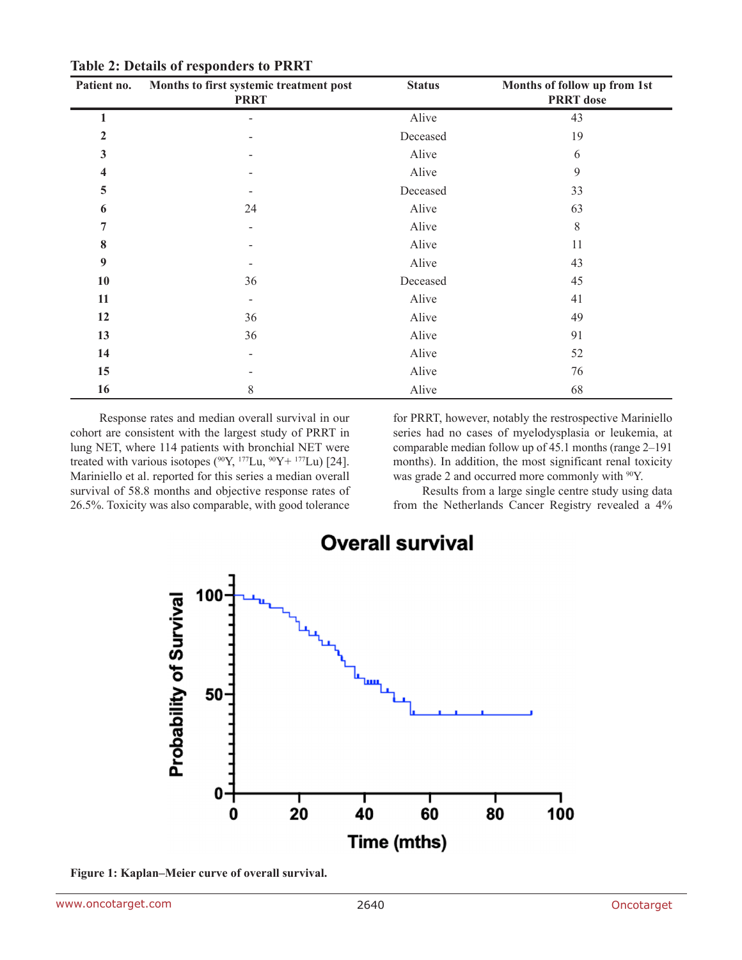| Patient no. | Months to first systemic treatment post<br><b>PRRT</b> | <b>Status</b> | Months of follow up from 1st<br><b>PRRT</b> dose |
|-------------|--------------------------------------------------------|---------------|--------------------------------------------------|
| 1           |                                                        | Alive         | 43                                               |
| 2           |                                                        | Deceased      | 19                                               |
| 3           |                                                        | Alive         | 6                                                |
| 4           |                                                        | Alive         | 9                                                |
| 5           |                                                        | Deceased      | 33                                               |
| 6           | 24                                                     | Alive         | 63                                               |
| 7           |                                                        | Alive         | 8                                                |
| 8           |                                                        | Alive         | 11                                               |
| 9           |                                                        | Alive         | 43                                               |
| 10          | 36                                                     | Deceased      | 45                                               |
| 11          |                                                        | Alive         | 41                                               |
| 12          | 36                                                     | Alive         | 49                                               |
| 13          | 36                                                     | Alive         | 91                                               |
| 14          | $\overline{\phantom{a}}$                               | Alive         | 52                                               |
| 15          |                                                        | Alive         | 76                                               |
| 16          | 8                                                      | Alive         | 68                                               |

**Table 2: Details of responders to PRRT**

Response rates and median overall survival in our cohort are consistent with the largest study of PRRT in lung NET, where 114 patients with bronchial NET were treated with various isotopes ( $90Y$ ,  $177Lu$ ,  $90Y + 177Lu$ ) [24]. Mariniello et al. reported for this series a median overall survival of 58.8 months and objective response rates of 26.5%. Toxicity was also comparable, with good tolerance

for PRRT, however, notably the restrospective Mariniello series had no cases of myelodysplasia or leukemia, at comparable median follow up of 45.1 months (range 2–191 months). In addition, the most significant renal toxicity was grade 2 and occurred more commonly with <sup>90</sup>Y.

Results from a large single centre study using data from the Netherlands Cancer Registry revealed a 4%



**Overall survival** 

**Figure 1: Kaplan–Meier curve of overall survival.**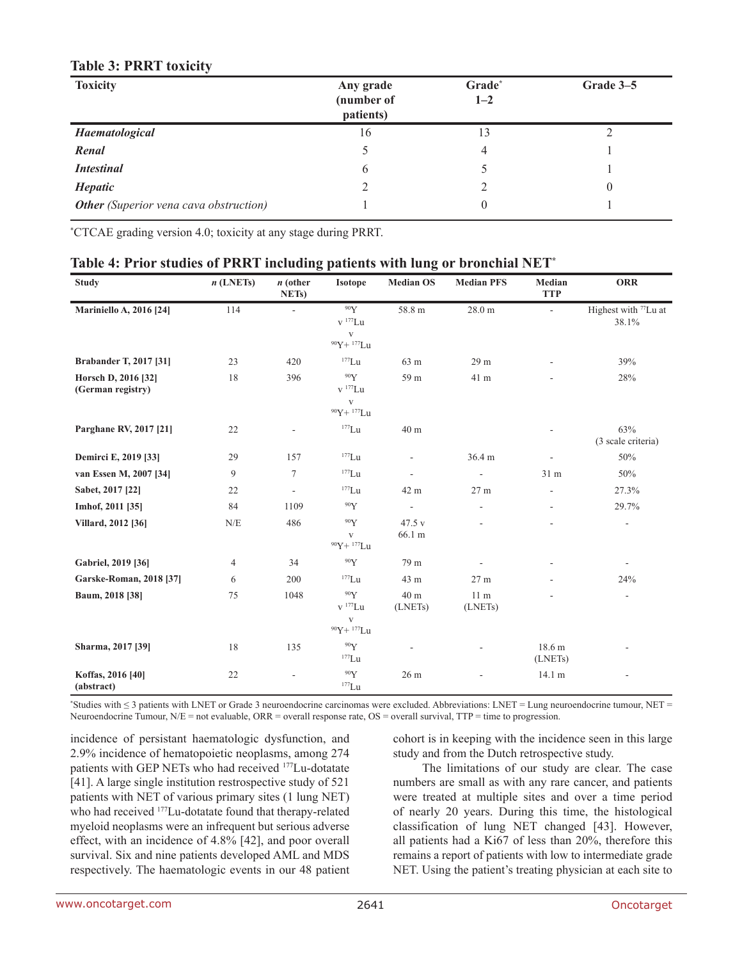| <b>Toxicity</b>                               | Any grade<br>(number of<br>patients) | Grade*<br>$1 - 2$ | Grade 3-5 |
|-----------------------------------------------|--------------------------------------|-------------------|-----------|
| Haematological                                | 16                                   | 13                |           |
| Renal                                         |                                      | 4                 |           |
| <b>Intestinal</b>                             | 6                                    |                   |           |
| Hepatic                                       |                                      |                   |           |
| <b>Other</b> (Superior vena cava obstruction) |                                      | $\theta$          |           |

### **Table 3: PRRT toxicity**

\* CTCAE grading version 4.0; toxicity at any stage during PRRT.

| <b>Study</b>                             | $n$ (LNETs)    | $n$ (other<br>NET <sub>s</sub> ) | <b>Isotope</b>                                                                    | <b>Median OS</b>         | <b>Median PFS</b>          | Median<br><b>TTP</b>     | <b>ORR</b>                                |
|------------------------------------------|----------------|----------------------------------|-----------------------------------------------------------------------------------|--------------------------|----------------------------|--------------------------|-------------------------------------------|
| <b>Mariniello A, 2016 [24]</b>           | 114            | $\overline{\phantom{a}}$         | 90Y<br>$\rm v$ $^{177}\rm Lu$<br>$\mathbf{V}$<br>90Y+ 177Lu                       | 58.8 m                   | $28.0 \text{ m}$           | $\overline{\phantom{a}}$ | Highest with <sup>77</sup> Lu at<br>38.1% |
| <b>Brabander T, 2017 [31]</b>            | 23             | 420                              | $177$ Lu                                                                          | 63 m                     | 29 m                       |                          | 39%                                       |
| Horsch D, 2016 [32]<br>(German registry) | 18             | 396                              | 90Y<br>v <sup>177</sup> Lu<br>$\mathbf{V}$<br>$90Y + 177Lu$                       | 59 m                     | 41 m                       |                          | 28%                                       |
| Parghane RV, 2017 [21]                   | 22             |                                  | $\mathrm{^{177}Lu}$                                                               | 40 m                     |                            |                          | 63%<br>(3 scale criteria)                 |
| Demirci E, 2019 [33]                     | 29             | 157                              | $\mathrm{^{177}Lu}$                                                               | $\overline{\phantom{a}}$ | 36.4 m                     |                          | 50%                                       |
| van Essen M, 2007 [34]                   | 9              | $\tau$                           | $\mathrm{^{177}Lu}$                                                               | $\overline{\phantom{a}}$ | $\overline{\phantom{a}}$   | 31 m                     | 50%                                       |
| Sabet, 2017 [22]                         | 22             | $\overline{\phantom{a}}$         | $177$ Lu                                                                          | 42 m                     | 27 m                       |                          | 27.3%                                     |
| Imhof, 2011 [35]                         | 84             | 1109                             | 90Y                                                                               | $\Box$                   | L,                         |                          | 29.7%                                     |
| Villard, 2012 [36]                       | N/E            | 486                              | 90Y<br>V<br>$90Y + 177Lu$                                                         | 47.5 v<br>66.1 m         |                            |                          |                                           |
| Gabriel, 2019 [36]                       | $\overline{4}$ | 34                               | 90Y                                                                               | 79 m                     |                            |                          | $\blacksquare$                            |
| <b>Garske-Roman, 2018 [37]</b>           | 6              | 200                              | $177$ Lu                                                                          | 43 m                     | 27 <sub>m</sub>            |                          | 24%                                       |
| Baum, 2018 [38]                          | 75             | 1048                             | 90Y<br>$\mathbf{v}$<br>$^{177}\mathbf{L}\mathbf{u}$<br>$\mathbf{V}$<br>90Y+ 177Lu | 40 m<br>(LNETs)          | 11 <sub>m</sub><br>(LNETs) |                          | $\overline{\phantom{a}}$                  |
| Sharma, 2017 [39]                        | 18             | 135                              | $\rm ^{90}Y$<br>$177$ Lu                                                          |                          |                            | 18.6 m<br>(LNETs)        |                                           |
| Koffas, 2016 [40]<br>(abstract)          | $22\,$         |                                  | 90Y<br>$^{177}\mathrm{Lu}$                                                        | 26 m                     |                            | 14.1 m                   |                                           |

### **Table 4: Prior studies of PRRT including patients with lung or bronchial NET\***

\* Studies with ≤ 3 patients with LNET or Grade 3 neuroendocrine carcinomas were excluded. Abbreviations: LNET = Lung neuroendocrine tumour, NET = Neuroendocrine Tumour,  $N/E$  = not evaluable, ORR = overall response rate, OS = overall survival, TTP = time to progression.

incidence of persistant haematologic dysfunction, and 2.9% incidence of hematopoietic neoplasms, among 274 patients with GEP NETs who had received 177Lu-dotatate [41]. A large single institution restrospective study of 521 patients with NET of various primary sites (1 lung NET) who had received 177Lu-dotatate found that therapy-related myeloid neoplasms were an infrequent but serious adverse effect, with an incidence of 4.8% [42], and poor overall survival. Six and nine patients developed AML and MDS respectively. The haematologic events in our 48 patient cohort is in keeping with the incidence seen in this large study and from the Dutch retrospective study.

The limitations of our study are clear. The case numbers are small as with any rare cancer, and patients were treated at multiple sites and over a time period of nearly 20 years. During this time, the histological classification of lung NET changed [43]. However, all patients had a Ki67 of less than 20%, therefore this remains a report of patients with low to intermediate grade NET. Using the patient's treating physician at each site to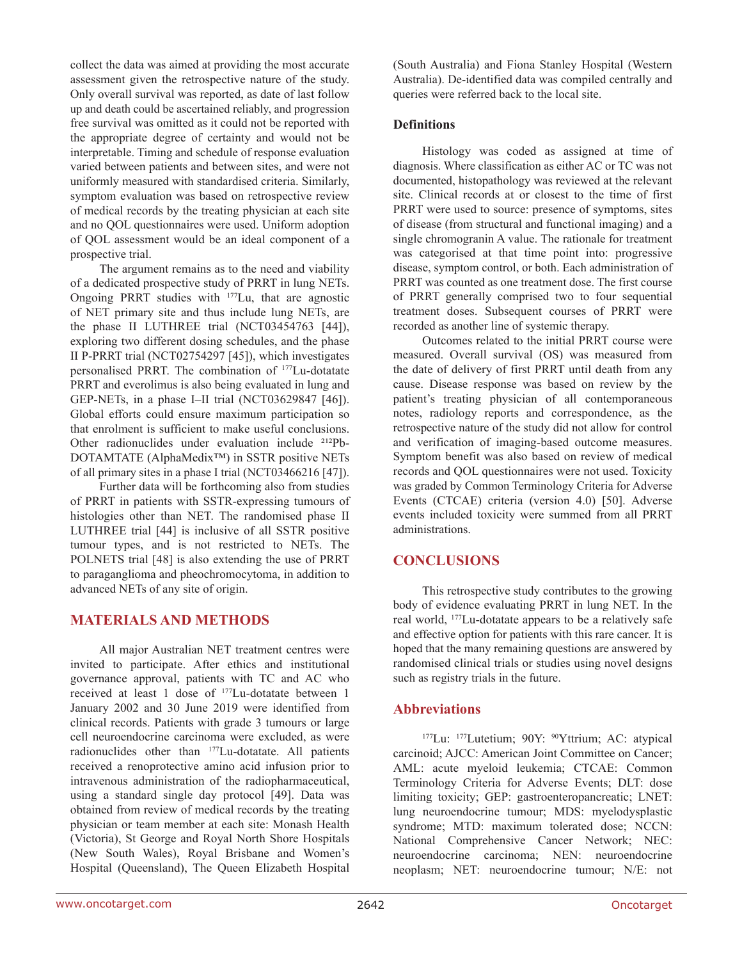collect the data was aimed at providing the most accurate assessment given the retrospective nature of the study. Only overall survival was reported, as date of last follow up and death could be ascertained reliably, and progression free survival was omitted as it could not be reported with the appropriate degree of certainty and would not be interpretable. Timing and schedule of response evaluation varied between patients and between sites, and were not uniformly measured with standardised criteria. Similarly, symptom evaluation was based on retrospective review of medical records by the treating physician at each site and no QOL questionnaires were used. Uniform adoption of QOL assessment would be an ideal component of a prospective trial.

The argument remains as to the need and viability of a dedicated prospective study of PRRT in lung NETs. Ongoing PRRT studies with 177Lu, that are agnostic of NET primary site and thus include lung NETs, are the phase II LUTHREE trial (NCT03454763 [44]), exploring two different dosing schedules, and the phase II P-PRRT trial (NCT02754297 [45]), which investigates personalised PRRT. The combination of 177Lu-dotatate PRRT and everolimus is also being evaluated in lung and GEP-NETs, in a phase I–II trial (NCT03629847 [46]). Global efforts could ensure maximum participation so that enrolment is sufficient to make useful conclusions. Other radionuclides under evaluation include <sup>212</sup>Pb-DOTAMTATE (AlphaMedix™) in SSTR positive NETs of all primary sites in a phase I trial (NCT03466216 [47]).

Further data will be forthcoming also from studies of PRRT in patients with SSTR-expressing tumours of histologies other than NET. The randomised phase II LUTHREE trial [44] is inclusive of all SSTR positive tumour types, and is not restricted to NETs. The POLNETS trial [48] is also extending the use of PRRT to paraganglioma and pheochromocytoma, in addition to advanced NETs of any site of origin.

### **MATERIALS AND METHODS**

All major Australian NET treatment centres were invited to participate. After ethics and institutional governance approval, patients with TC and AC who received at least 1 dose of 177Lu-dotatate between 1 January 2002 and 30 June 2019 were identified from clinical records. Patients with grade 3 tumours or large cell neuroendocrine carcinoma were excluded, as were radionuclides other than 177Lu-dotatate. All patients received a renoprotective amino acid infusion prior to intravenous administration of the radiopharmaceutical, using a standard single day protocol [49]. Data was obtained from review of medical records by the treating physician or team member at each site: Monash Health (Victoria), St George and Royal North Shore Hospitals (New South Wales), Royal Brisbane and Women's Hospital (Queensland), The Queen Elizabeth Hospital (South Australia) and Fiona Stanley Hospital (Western Australia). De-identified data was compiled centrally and queries were referred back to the local site.

#### **Definitions**

Histology was coded as assigned at time of diagnosis. Where classification as either AC or TC was not documented, histopathology was reviewed at the relevant site. Clinical records at or closest to the time of first PRRT were used to source: presence of symptoms, sites of disease (from structural and functional imaging) and a single chromogranin A value. The rationale for treatment was categorised at that time point into: progressive disease, symptom control, or both. Each administration of PRRT was counted as one treatment dose. The first course of PRRT generally comprised two to four sequential treatment doses. Subsequent courses of PRRT were recorded as another line of systemic therapy.

Outcomes related to the initial PRRT course were measured. Overall survival (OS) was measured from the date of delivery of first PRRT until death from any cause. Disease response was based on review by the patient's treating physician of all contemporaneous notes, radiology reports and correspondence, as the retrospective nature of the study did not allow for control and verification of imaging-based outcome measures. Symptom benefit was also based on review of medical records and QOL questionnaires were not used. Toxicity was graded by Common Terminology Criteria for Adverse Events (CTCAE) criteria (version 4.0) [50]. Adverse events included toxicity were summed from all PRRT administrations.

# **CONCLUSIONS**

This retrospective study contributes to the growing body of evidence evaluating PRRT in lung NET. In the real world, 177Lu-dotatate appears to be a relatively safe and effective option for patients with this rare cancer. It is hoped that the many remaining questions are answered by randomised clinical trials or studies using novel designs such as registry trials in the future.

### **Abbreviations**

<sup>177</sup>Lu: <sup>177</sup>Lutetium; 90Y: <sup>90</sup>Yttrium; AC: atypical carcinoid; AJCC: American Joint Committee on Cancer; AML: acute myeloid leukemia; CTCAE: Common Terminology Criteria for Adverse Events; DLT: dose limiting toxicity; GEP: gastroenteropancreatic; LNET: lung neuroendocrine tumour; MDS: myelodysplastic syndrome; MTD: maximum tolerated dose; NCCN: National Comprehensive Cancer Network; NEC: neuroendocrine carcinoma; NEN: neuroendocrine neoplasm; NET: neuroendocrine tumour; N/E: not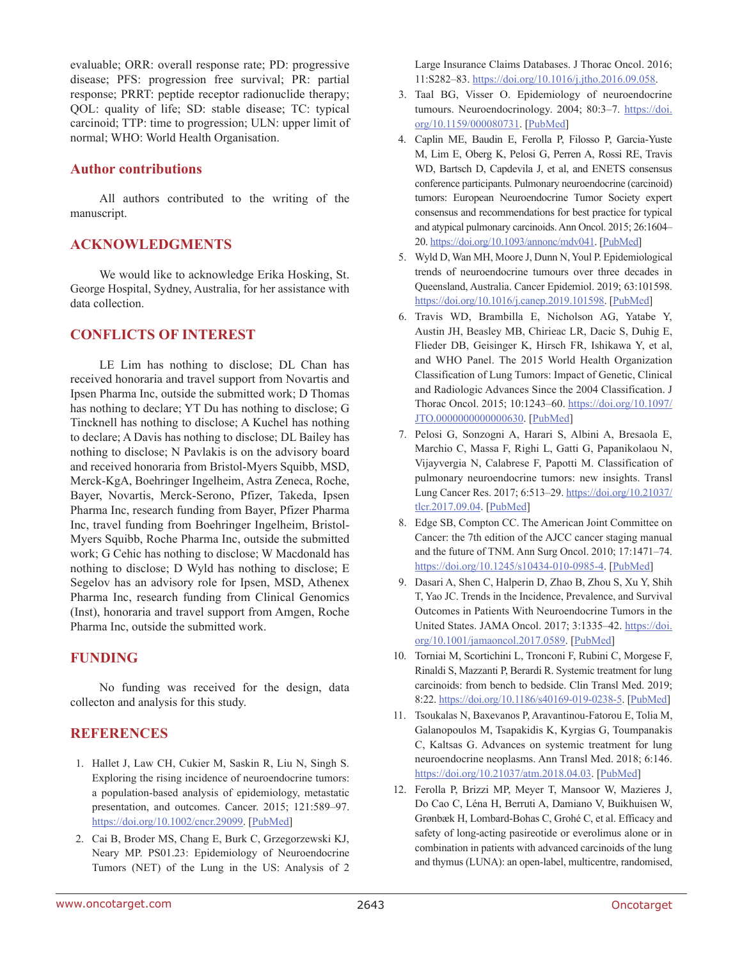evaluable; ORR: overall response rate; PD: progressive disease; PFS: progression free survival; PR: partial response; PRRT: peptide receptor radionuclide therapy; QOL: quality of life; SD: stable disease; TC: typical carcinoid; TTP: time to progression; ULN: upper limit of normal; WHO: World Health Organisation.

#### **Author contributions**

All authors contributed to the writing of the manuscript.

#### **ACKNOWLEDGMENTS**

We would like to acknowledge Erika Hosking, St. George Hospital, Sydney, Australia, for her assistance with data collection.

### **CONFLICTS OF INTEREST**

LE Lim has nothing to disclose; DL Chan has received honoraria and travel support from Novartis and Ipsen Pharma Inc, outside the submitted work; D Thomas has nothing to declare; YT Du has nothing to disclose; G Tincknell has nothing to disclose; A Kuchel has nothing to declare; A Davis has nothing to disclose; DL Bailey has nothing to disclose; N Pavlakis is on the advisory board and received honoraria from Bristol-Myers Squibb, MSD, Merck-KgA, Boehringer Ingelheim, Astra Zeneca, Roche, Bayer, Novartis, Merck-Serono, Pfizer, Takeda, Ipsen Pharma Inc, research funding from Bayer, Pfizer Pharma Inc, travel funding from Boehringer Ingelheim, Bristol-Myers Squibb, Roche Pharma Inc, outside the submitted work; G Cehic has nothing to disclose; W Macdonald has nothing to disclose; D Wyld has nothing to disclose; E Segelov has an advisory role for Ipsen, MSD, Athenex Pharma Inc, research funding from Clinical Genomics (Inst), honoraria and travel support from Amgen, Roche Pharma Inc, outside the submitted work.

### **FUNDING**

No funding was received for the design, data collecton and analysis for this study.

#### **REFERENCES**

- 1. Hallet J, Law CH, Cukier M, Saskin R, Liu N, Singh S. Exploring the rising incidence of neuroendocrine tumors: a population-based analysis of epidemiology, metastatic presentation, and outcomes. Cancer. 2015; 121:589–97. [https://doi.org/10.1002/cncr.29099.](https://doi.org/10.1002/cncr.29099) [\[PubMed\]](https://www.ncbi.nlm.nih.gov/pubmed/25312765)
- 2. Cai B, Broder MS, Chang E, Burk C, Grzegorzewski KJ, Neary MP. PS01.23: Epidemiology of Neuroendocrine Tumors (NET) of the Lung in the US: Analysis of 2

Large Insurance Claims Databases. J Thorac Oncol. 2016; 11:S282–83.<https://doi.org/10.1016/j.jtho.2016.09.058>.

- 3. Taal BG, Visser O. Epidemiology of neuroendocrine tumours. Neuroendocrinology. 2004; 80:3–7. [https://doi.](https://doi.org/10.1159/000080731) [org/10.1159/000080731.](https://doi.org/10.1159/000080731) [\[PubMed\]](https://www.ncbi.nlm.nih.gov/pubmed/15477707)
- 4. Caplin ME, Baudin E, Ferolla P, Filosso P, Garcia-Yuste M, Lim E, Oberg K, Pelosi G, Perren A, Rossi RE, Travis WD, Bartsch D, Capdevila J, et al, and ENETS consensus conference participants. Pulmonary neuroendocrine (carcinoid) tumors: European Neuroendocrine Tumor Society expert consensus and recommendations for best practice for typical and atypical pulmonary carcinoids. Ann Oncol. 2015; 26:1604– 20. [https://doi.org/10.1093/annonc/mdv041.](https://doi.org/10.1093/annonc/mdv041) [[PubMed\]](https://www.ncbi.nlm.nih.gov/pubmed/25646366)
- 5. Wyld D, Wan MH, Moore J, Dunn N, Youl P. Epidemiological trends of neuroendocrine tumours over three decades in Queensland, Australia. Cancer Epidemiol. 2019; 63:101598. [https://doi.org/10.1016/j.canep.2019.101598.](https://doi.org/10.1016/j.canep.2019.101598) [\[PubMed\]](https://www.ncbi.nlm.nih.gov/pubmed/31539715)
- 6. Travis WD, Brambilla E, Nicholson AG, Yatabe Y, Austin JH, Beasley MB, Chirieac LR, Dacic S, Duhig E, Flieder DB, Geisinger K, Hirsch FR, Ishikawa Y, et al, and WHO Panel. The 2015 World Health Organization Classification of Lung Tumors: Impact of Genetic, Clinical and Radiologic Advances Since the 2004 Classification. J Thorac Oncol. 2015; 10:1243–60. [https://doi.org/10.1097/](https://doi.org/10.1097/JTO.0000000000000630) [JTO.0000000000000630](https://doi.org/10.1097/JTO.0000000000000630). [[PubMed](https://www.ncbi.nlm.nih.gov/pubmed/26291008)]
- 7. Pelosi G, Sonzogni A, Harari S, Albini A, Bresaola E, Marchio C, Massa F, Righi L, Gatti G, Papanikolaou N, Vijayvergia N, Calabrese F, Papotti M. Classification of pulmonary neuroendocrine tumors: new insights. Transl Lung Cancer Res. 2017; 6:513–29. [https://doi.org/10.21037/](https://doi.org/10.21037/tlcr.2017.09.04) [tlcr.2017.09.04.](https://doi.org/10.21037/tlcr.2017.09.04) [\[PubMed\]](https://www.ncbi.nlm.nih.gov/pubmed/29114468)
- 8. Edge SB, Compton CC. The American Joint Committee on Cancer: the 7th edition of the AJCC cancer staging manual and the future of TNM. Ann Surg Oncol. 2010; 17:1471–74. <https://doi.org/10.1245/s10434-010-0985-4>. [[PubMed](https://www.ncbi.nlm.nih.gov/pubmed/20180029)]
- 9. Dasari A, Shen C, Halperin D, Zhao B, Zhou S, Xu Y, Shih T, Yao JC. Trends in the Incidence, Prevalence, and Survival Outcomes in Patients With Neuroendocrine Tumors in the United States. JAMA Oncol. 2017; 3:1335–42. [https://doi.](https://doi.org/10.1001/jamaoncol.2017.0589) [org/10.1001/jamaoncol.2017.0589.](https://doi.org/10.1001/jamaoncol.2017.0589) [\[PubMed\]](https://www.ncbi.nlm.nih.gov/pubmed/28448665)
- 10. Torniai M, Scortichini L, Tronconi F, Rubini C, Morgese F, Rinaldi S, Mazzanti P, Berardi R. Systemic treatment for lung carcinoids: from bench to bedside. Clin Transl Med. 2019; 8:22.<https://doi.org/10.1186/s40169-019-0238-5>. [[PubMed](https://www.ncbi.nlm.nih.gov/pubmed/31273555)]
- 11. Tsoukalas N, Baxevanos P, Aravantinou-Fatorou E, Tolia M, Galanopoulos M, Tsapakidis K, Kyrgias G, Toumpanakis C, Kaltsas G. Advances on systemic treatment for lung neuroendocrine neoplasms. Ann Transl Med. 2018; 6:146. <https://doi.org/10.21037/atm.2018.04.03>. [[PubMed](https://www.ncbi.nlm.nih.gov/pubmed/29862235)]
- 12. Ferolla P, Brizzi MP, Meyer T, Mansoor W, Mazieres J, Do Cao C, Léna H, Berruti A, Damiano V, Buikhuisen W, Grønbæk H, Lombard-Bohas C, Grohé C, et al. Efficacy and safety of long-acting pasireotide or everolimus alone or in combination in patients with advanced carcinoids of the lung and thymus (LUNA): an open-label, multicentre, randomised,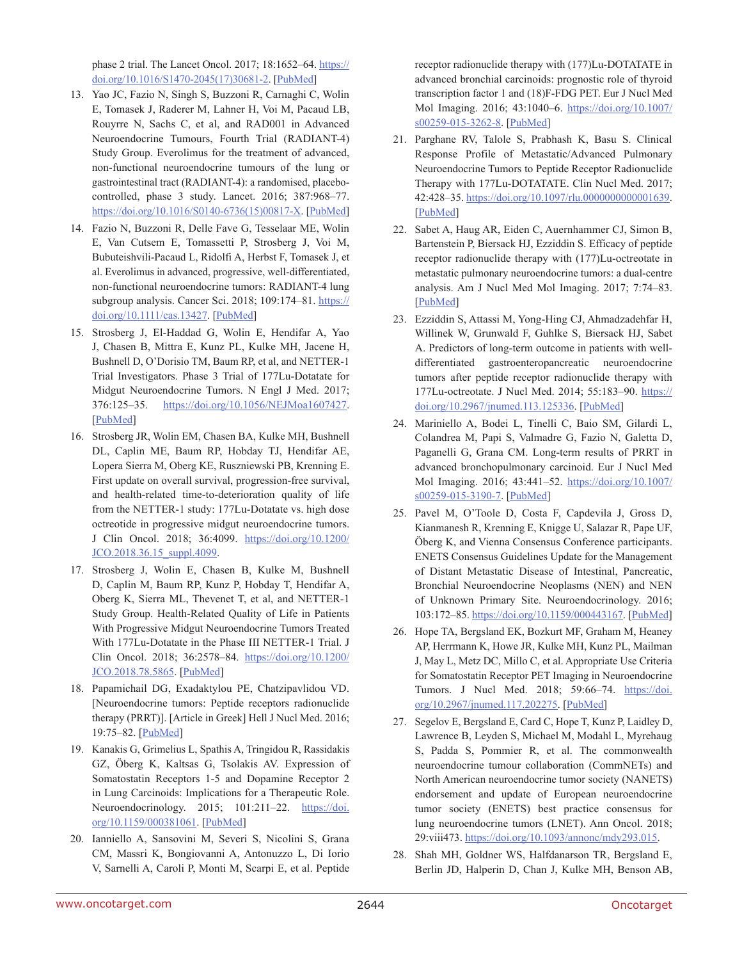phase 2 trial. The Lancet Oncol. 2017; 18:1652–64. [https://](https://doi.org/10.1016/S1470-2045(17)30681-2) [doi.org/10.1016/S1470-2045\(17\)30681-2.](https://doi.org/10.1016/S1470-2045(17)30681-2) [[PubMed\]](https://www.ncbi.nlm.nih.gov/pubmed/29074099)

- 13. Yao JC, Fazio N, Singh S, Buzzoni R, Carnaghi C, Wolin E, Tomasek J, Raderer M, Lahner H, Voi M, Pacaud LB, Rouyrre N, Sachs C, et al, and RAD001 in Advanced Neuroendocrine Tumours, Fourth Trial (RADIANT-4) Study Group. Everolimus for the treatment of advanced, non-functional neuroendocrine tumours of the lung or gastrointestinal tract (RADIANT-4): a randomised, placebocontrolled, phase 3 study. Lancet. 2016; 387:968–77. [https://doi.org/10.1016/S0140-6736\(15\)00817-X](https://doi.org/10.1016/S0140-6736(15)00817-X). [[PubMed\]](https://www.ncbi.nlm.nih.gov/pubmed/26703889)
- 14. Fazio N, Buzzoni R, Delle Fave G, Tesselaar ME, Wolin E, Van Cutsem E, Tomassetti P, Strosberg J, Voi M, Bubuteishvili-Pacaud L, Ridolfi A, Herbst F, Tomasek J, et al. Everolimus in advanced, progressive, well-differentiated, non-functional neuroendocrine tumors: RADIANT-4 lung subgroup analysis. Cancer Sci. 2018; 109:174-81. [https://](https://doi.org/10.1111/cas.13427) [doi.org/10.1111/cas.13427](https://doi.org/10.1111/cas.13427). [[PubMed](https://www.ncbi.nlm.nih.gov/pubmed/29055056)]
- 15. Strosberg J, El-Haddad G, Wolin E, Hendifar A, Yao J, Chasen B, Mittra E, Kunz PL, Kulke MH, Jacene H, Bushnell D, O'Dorisio TM, Baum RP, et al, and NETTER-1 Trial Investigators. Phase 3 Trial of 177Lu-Dotatate for Midgut Neuroendocrine Tumors. N Engl J Med. 2017; 376:125–35. <https://doi.org/10.1056/NEJMoa1607427>. [[PubMed\]](https://www.ncbi.nlm.nih.gov/pubmed/28076709)
- 16. Strosberg JR, Wolin EM, Chasen BA, Kulke MH, Bushnell DL, Caplin ME, Baum RP, Hobday TJ, Hendifar AE, Lopera Sierra M, Oberg KE, Ruszniewski PB, Krenning E. First update on overall survival, progression-free survival, and health-related time-to-deterioration quality of life from the NETTER-1 study: 177Lu-Dotatate vs. high dose octreotide in progressive midgut neuroendocrine tumors. J Clin Oncol. 2018; 36:4099. [https://doi.org/10.1200/](https://doi.org/10.1200/JCO.2018.36.15_suppl.4099) [JCO.2018.36.15\\_suppl.4099](https://doi.org/10.1200/JCO.2018.36.15_suppl.4099).
- 17. Strosberg J, Wolin E, Chasen B, Kulke M, Bushnell D, Caplin M, Baum RP, Kunz P, Hobday T, Hendifar A, Oberg K, Sierra ML, Thevenet T, et al, and NETTER-1 Study Group. Health-Related Quality of Life in Patients With Progressive Midgut Neuroendocrine Tumors Treated With 177Lu-Dotatate in the Phase III NETTER-1 Trial. J Clin Oncol. 2018; 36:2578–84. [https://doi.org/10.1200/](https://doi.org/10.1200/JCO.2018.78.5865) [JCO.2018.78.5865.](https://doi.org/10.1200/JCO.2018.78.5865) [\[PubMed\]](https://www.ncbi.nlm.nih.gov/pubmed/29878866)
- 18. Papamichail DG, Exadaktylou PE, Chatzipavlidou VD. [Neuroendocrine tumors: Peptide receptors radionuclide therapy (PRRT)]. [Article in Greek] Hell J Nucl Med. 2016; 19:75–82. [\[PubMed](https://www.ncbi.nlm.nih.gov/pubmed/27035909)]
- 19. Kanakis G, Grimelius L, Spathis A, Tringidou R, Rassidakis GZ, Öberg K, Kaltsas G, Tsolakis AV. Expression of Somatostatin Receptors 1-5 and Dopamine Receptor 2 in Lung Carcinoids: Implications for a Therapeutic Role. Neuroendocrinology. 2015; 101:211–22. [https://doi.](https://doi.org/10.1159/000381061) [org/10.1159/000381061](https://doi.org/10.1159/000381061). [[PubMed](https://www.ncbi.nlm.nih.gov/pubmed/25765100)]
- 20. Ianniello A, Sansovini M, Severi S, Nicolini S, Grana CM, Massri K, Bongiovanni A, Antonuzzo L, Di Iorio V, Sarnelli A, Caroli P, Monti M, Scarpi E, et al. Peptide

receptor radionuclide therapy with (177)Lu-DOTATATE in advanced bronchial carcinoids: prognostic role of thyroid transcription factor 1 and (18)F-FDG PET. Eur J Nucl Med Mol Imaging. 2016; 43:1040–6. [https://doi.org/10.1007/](https://doi.org/10.1007/s00259-015-3262-8) [s00259-015-3262-8](https://doi.org/10.1007/s00259-015-3262-8). [[PubMed](https://www.ncbi.nlm.nih.gov/pubmed/26611427)]

- 21. Parghane RV, Talole S, Prabhash K, Basu S. Clinical Response Profile of Metastatic/Advanced Pulmonary Neuroendocrine Tumors to Peptide Receptor Radionuclide Therapy with 177Lu-DOTATATE. Clin Nucl Med. 2017; 42:428–35. [https://doi.org/10.1097/rlu.0000000000001639.](https://doi.org/10.1097/rlu.0000000000001639) [\[PubMed\]](https://www.ncbi.nlm.nih.gov/pubmed/28319500)
- 22. Sabet A, Haug AR, Eiden C, Auernhammer CJ, Simon B, Bartenstein P, Biersack HJ, Ezziddin S. Efficacy of peptide receptor radionuclide therapy with (177)Lu-octreotate in metastatic pulmonary neuroendocrine tumors: a dual-centre analysis. Am J Nucl Med Mol Imaging. 2017; 7:74–83. [\[PubMed\]](https://www.ncbi.nlm.nih.gov/pubmed/28533939)
- 23. Ezziddin S, Attassi M, Yong-Hing CJ, Ahmadzadehfar H, Willinek W, Grunwald F, Guhlke S, Biersack HJ, Sabet A. Predictors of long-term outcome in patients with welldifferentiated gastroenteropancreatic neuroendocrine tumors after peptide receptor radionuclide therapy with 177Lu-octreotate. J Nucl Med. 2014; 55:183–90. [https://](https://doi.org/10.2967/jnumed.113.125336) [doi.org/10.2967/jnumed.113.125336.](https://doi.org/10.2967/jnumed.113.125336) [\[PubMed\]](https://www.ncbi.nlm.nih.gov/pubmed/24434296)
- 24. Mariniello A, Bodei L, Tinelli C, Baio SM, Gilardi L, Colandrea M, Papi S, Valmadre G, Fazio N, Galetta D, Paganelli G, Grana CM. Long-term results of PRRT in advanced bronchopulmonary carcinoid. Eur J Nucl Med Mol Imaging. 2016; 43:441–52. [https://doi.org/10.1007/](https://doi.org/10.1007/s00259-015-3190-7) [s00259-015-3190-7](https://doi.org/10.1007/s00259-015-3190-7). [[PubMed](https://www.ncbi.nlm.nih.gov/pubmed/26392198)]
- 25. Pavel M, O'Toole D, Costa F, Capdevila J, Gross D, Kianmanesh R, Krenning E, Knigge U, Salazar R, Pape UF, Öberg K, and Vienna Consensus Conference participants. ENETS Consensus Guidelines Update for the Management of Distant Metastatic Disease of Intestinal, Pancreatic, Bronchial Neuroendocrine Neoplasms (NEN) and NEN of Unknown Primary Site. Neuroendocrinology. 2016; 103:172–85. <https://doi.org/10.1159/000443167>. [[PubMed](https://www.ncbi.nlm.nih.gov/pubmed/26731013)]
- 26. Hope TA, Bergsland EK, Bozkurt MF, Graham M, Heaney AP, Herrmann K, Howe JR, Kulke MH, Kunz PL, Mailman J, May L, Metz DC, Millo C, et al. Appropriate Use Criteria for Somatostatin Receptor PET Imaging in Neuroendocrine Tumors. J Nucl Med. 2018; 59:66-74. [https://doi.](https://doi.org/10.2967/jnumed.117.202275) [org/10.2967/jnumed.117.202275](https://doi.org/10.2967/jnumed.117.202275). [[PubMed](https://www.ncbi.nlm.nih.gov/pubmed/29025982)]
- 27. Segelov E, Bergsland E, Card C, Hope T, Kunz P, Laidley D, Lawrence B, Leyden S, Michael M, Modahl L, Myrehaug S, Padda S, Pommier R, et al. The commonwealth neuroendocrine tumour collaboration (CommNETs) and North American neuroendocrine tumor society (NANETS) endorsement and update of European neuroendocrine tumor society (ENETS) best practice consensus for lung neuroendocrine tumors (LNET). Ann Oncol. 2018; 29:viii473. [https://doi.org/10.1093/annonc/mdy293.015.](https://doi.org/10.1093/annonc/mdy293.015)
- 28. Shah MH, Goldner WS, Halfdanarson TR, Bergsland E, Berlin JD, Halperin D, Chan J, Kulke MH, Benson AB,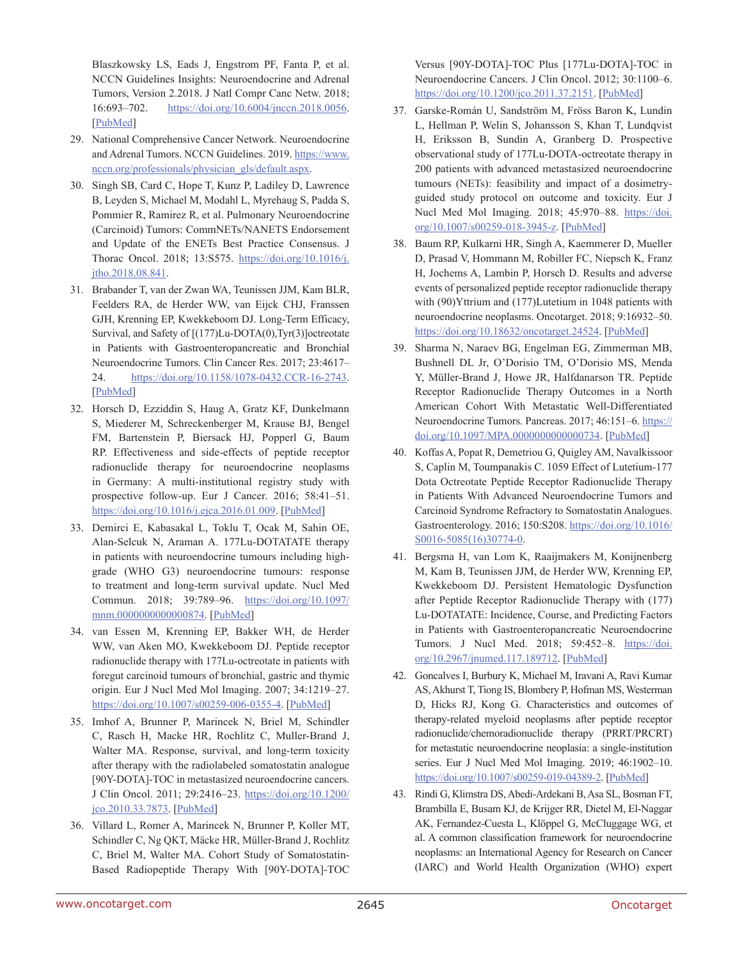Blaszkowsky LS, Eads J, Engstrom PF, Fanta P, et al. NCCN Guidelines Insights: Neuroendocrine and Adrenal Tumors, Version 2.2018. J Natl Compr Canc Netw. 2018; 16:693–702. <https://doi.org/10.6004/jnccn.2018.0056>. [[PubMed\]](https://www.ncbi.nlm.nih.gov/pubmed/29891520)

- 29. National Comprehensive Cancer Network. Neuroendocrine and Adrenal Tumors. NCCN Guidelines. 2019. [https://www.](https://www.nccn.org/professionals/physician_gls/default.aspx) [nccn.org/professionals/physician\\_gls/default.aspx](https://www.nccn.org/professionals/physician_gls/default.aspx).
- 30. Singh SB, Card C, Hope T, Kunz P, Ladiley D, Lawrence B, Leyden S, Michael M, Modahl L, Myrehaug S, Padda S, Pommier R, Ramirez R, et al. Pulmonary Neuroendocrine (Carcinoid) Tumors: CommNETs/NANETS Endorsement and Update of the ENETs Best Practice Consensus. J Thorac Oncol. 2018; 13:S575. [https://doi.org/10.1016/j.](https://doi.org/10.1016/j.jtho.2018.08.841) [jtho.2018.08.841](https://doi.org/10.1016/j.jtho.2018.08.841).
- 31. Brabander T, van der Zwan WA, Teunissen JJM, Kam BLR, Feelders RA, de Herder WW, van Eijck CHJ, Franssen GJH, Krenning EP, Kwekkeboom DJ. Long-Term Efficacy, Survival, and Safety of [(177)Lu-DOTA(0),Tyr(3)]octreotate in Patients with Gastroenteropancreatic and Bronchial Neuroendocrine Tumors. Clin Cancer Res. 2017; 23:4617– 24. <https://doi.org/10.1158/1078-0432.CCR-16-2743>. [[PubMed](https://www.ncbi.nlm.nih.gov/pubmed/28428192)]
- 32. Horsch D, Ezziddin S, Haug A, Gratz KF, Dunkelmann S, Miederer M, Schreckenberger M, Krause BJ, Bengel FM, Bartenstein P, Biersack HJ, Popperl G, Baum RP. Effectiveness and side-effects of peptide receptor radionuclide therapy for neuroendocrine neoplasms in Germany: A multi-institutional registry study with prospective follow-up. Eur J Cancer. 2016; 58:41–51. <https://doi.org/10.1016/j.ejca.2016.01.009>. [[PubMed](https://www.ncbi.nlm.nih.gov/pubmed/26943056)]
- 33. Demirci E, Kabasakal L, Toklu T, Ocak M, Sahin OE, Alan-Selcuk N, Araman A. 177Lu-DOTATATE therapy in patients with neuroendocrine tumours including highgrade (WHO G3) neuroendocrine tumours: response to treatment and long-term survival update. Nucl Med Commun. 2018; 39:789–96. [https://doi.org/10.1097/](https://doi.org/10.1097/mnm.0000000000000874) [mnm.0000000000000874.](https://doi.org/10.1097/mnm.0000000000000874) [\[PubMed\]](https://www.ncbi.nlm.nih.gov/pubmed/29912750)
- 34. van Essen M, Krenning EP, Bakker WH, de Herder WW, van Aken MO, Kwekkeboom DJ. Peptide receptor radionuclide therapy with 177Lu-octreotate in patients with foregut carcinoid tumours of bronchial, gastric and thymic origin. Eur J Nucl Med Mol Imaging. 2007; 34:1219–27. [https://doi.org/10.1007/s00259-006-0355-4.](https://doi.org/10.1007/s00259-006-0355-4) [\[PubMed\]](https://www.ncbi.nlm.nih.gov/pubmed/17260141)
- 35. Imhof A, Brunner P, Marincek N, Briel M, Schindler C, Rasch H, Macke HR, Rochlitz C, Muller-Brand J, Walter MA. Response, survival, and long-term toxicity after therapy with the radiolabeled somatostatin analogue [90Y-DOTA]-TOC in metastasized neuroendocrine cancers. J Clin Oncol. 2011; 29:2416–23. [https://doi.org/10.1200/](https://doi.org/10.1200/jco.2010.33.7873) [jco.2010.33.7873.](https://doi.org/10.1200/jco.2010.33.7873) [\[PubMed\]](https://www.ncbi.nlm.nih.gov/pubmed/21555692)
- 36. Villard L, Romer A, Marincek N, Brunner P, Koller MT, Schindler C, Ng QKT, Mäcke HR, Müller-Brand J, Rochlitz C, Briel M, Walter MA. Cohort Study of Somatostatin-Based Radiopeptide Therapy With [90Y-DOTA]-TOC

Versus [90Y-DOTA]-TOC Plus [177Lu-DOTA]-TOC in Neuroendocrine Cancers. J Clin Oncol. 2012; 30:1100–6. [https://doi.org/10.1200/jco.2011.37.2151.](https://doi.org/10.1200/jco.2011.37.2151) [\[PubMed\]](https://www.ncbi.nlm.nih.gov/pubmed/22393097)

- 37. Garske-Román U, Sandström M, Fröss Baron K, Lundin L, Hellman P, Welin S, Johansson S, Khan T, Lundqvist H, Eriksson B, Sundin A, Granberg D. Prospective observational study of 177Lu-DOTA-octreotate therapy in 200 patients with advanced metastasized neuroendocrine tumours (NETs): feasibility and impact of a dosimetryguided study protocol on outcome and toxicity. Eur J Nucl Med Mol Imaging. 2018; 45:970-88. [https://doi.](https://doi.org/10.1007/s00259-018-3945-z) [org/10.1007/s00259-018-3945-z](https://doi.org/10.1007/s00259-018-3945-z). [[PubMed](https://www.ncbi.nlm.nih.gov/pubmed/29497803)]
- 38. Baum RP, Kulkarni HR, Singh A, Kaemmerer D, Mueller D, Prasad V, Hommann M, Robiller FC, Niepsch K, Franz H, Jochems A, Lambin P, Horsch D. Results and adverse events of personalized peptide receptor radionuclide therapy with (90)Yttrium and (177)Lutetium in 1048 patients with neuroendocrine neoplasms. Oncotarget. 2018; 9:16932–50. <https://doi.org/10.18632/oncotarget.24524>. [[PubMed](https://www.ncbi.nlm.nih.gov/pubmed/29682195)]
- 39. Sharma N, Naraev BG, Engelman EG, Zimmerman MB, Bushnell DL Jr, O'Dorisio TM, O'Dorisio MS, Menda Y, Müller-Brand J, Howe JR, Halfdanarson TR. Peptide Receptor Radionuclide Therapy Outcomes in a North American Cohort With Metastatic Well-Differentiated Neuroendocrine Tumors. Pancreas. 2017; 46:151-6. [https://](https://doi.org/10.1097/MPA.0000000000000734) [doi.org/10.1097/MPA.0000000000000734](https://doi.org/10.1097/MPA.0000000000000734). [[PubMed](https://www.ncbi.nlm.nih.gov/pubmed/27759712)]
- 40. Koffas A, Popat R, Demetriou G, Quigley AM, Navalkissoor S, Caplin M, Toumpanakis C. 1059 Effect of Lutetium-177 Dota Octreotate Peptide Receptor Radionuclide Therapy in Patients With Advanced Neuroendocrine Tumors and Carcinoid Syndrome Refractory to Somatostatin Analogues. Gastroenterology. 2016; 150:S208. [https://doi.org/10.1016/](https://doi.org/10.1016/S0016-5085(16)30774-0) [S0016-5085\(16\)30774-0](https://doi.org/10.1016/S0016-5085(16)30774-0).
- 41. Bergsma H, van Lom K, Raaijmakers M, Konijnenberg M, Kam B, Teunissen JJM, de Herder WW, Krenning EP, Kwekkeboom DJ. Persistent Hematologic Dysfunction after Peptide Receptor Radionuclide Therapy with (177) Lu-DOTATATE: Incidence, Course, and Predicting Factors in Patients with Gastroenteropancreatic Neuroendocrine Tumors. J Nucl Med. 2018; 59:452–8. [https://doi.](https://doi.org/10.2967/jnumed.117.189712) [org/10.2967/jnumed.117.189712](https://doi.org/10.2967/jnumed.117.189712). [[PubMed](https://www.ncbi.nlm.nih.gov/pubmed/28775205)]
- 42. Goncalves I, Burbury K, Michael M, Iravani A, Ravi Kumar AS, Akhurst T, Tiong IS, Blombery P, Hofman MS, Westerman D, Hicks RJ, Kong G. Characteristics and outcomes of therapy-related myeloid neoplasms after peptide receptor radionuclide/chemoradionuclide therapy (PRRT/PRCRT) for metastatic neuroendocrine neoplasia: a single-institution series. Eur J Nucl Med Mol Imaging. 2019; 46:1902–10. <https://doi.org/10.1007/s00259-019-04389-2>. [\[PubMed\]](https://www.ncbi.nlm.nih.gov/pubmed/31187162)
- 43. Rindi G, Klimstra DS, Abedi-Ardekani B, Asa SL, Bosman FT, Brambilla E, Busam KJ, de Krijger RR, Dietel M, El-Naggar AK, Fernandez-Cuesta L, Klöppel G, McCluggage WG, et al. A common classification framework for neuroendocrine neoplasms: an International Agency for Research on Cancer (IARC) and World Health Organization (WHO) expert